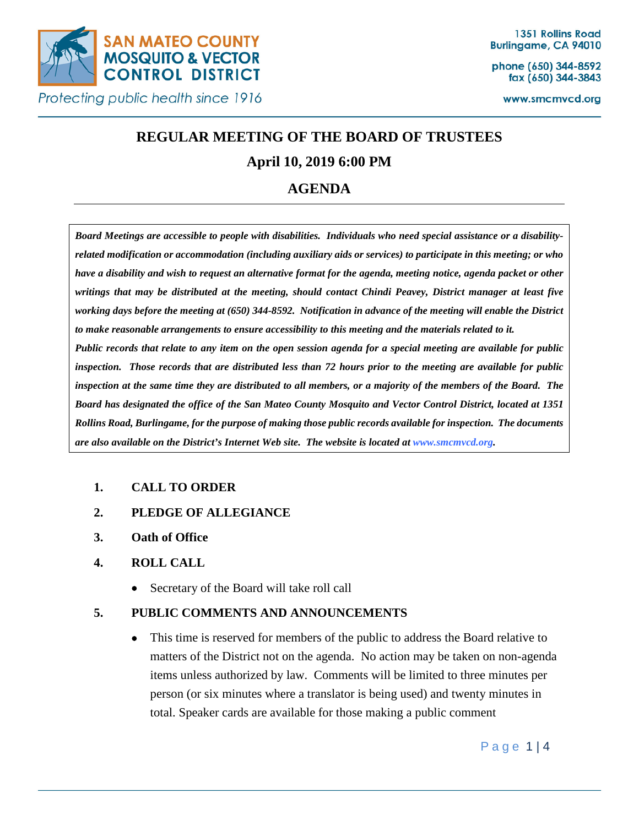

phone (650) 344-8592 fax (650) 344-3843

www.smcmvcd.org

# **REGULAR MEETING OF THE BOARD OF TRUSTEES**

# **April 10, 2019 6:00 PM**

# **AGENDA**

*Board Meetings are accessible to people with disabilities. Individuals who need special assistance or a disabilityrelated modification or accommodation (including auxiliary aids or services) to participate in this meeting; or who have a disability and wish to request an alternative format for the agenda, meeting notice, agenda packet or other writings that may be distributed at the meeting, should contact Chindi Peavey, District manager at least five working days before the meeting at (650) 344-8592. Notification in advance of the meeting will enable the District to make reasonable arrangements to ensure accessibility to this meeting and the materials related to it. Public records that relate to any item on the open session agenda for a special meeting are available for public inspection. Those records that are distributed less than 72 hours prior to the meeting are available for public inspection at the same time they are distributed to all members, or a majority of the members of the Board. The Board has designated the office of the San Mateo County Mosquito and Vector Control District, located at 1351 Rollins Road, Burlingame, for the purpose of making those public records available for inspection. The documents are also available on the District's Internet Web site. The website is located at www.smcmvcd.org.* 

# **1. CALL TO ORDER**

- **2. PLEDGE OF ALLEGIANCE**
- **3. Oath of Office**

# **4. ROLL CALL**

• Secretary of the Board will take roll call

# **5. PUBLIC COMMENTS AND ANNOUNCEMENTS**

• This time is reserved for members of the public to address the Board relative to matters of the District not on the agenda. No action may be taken on non-agenda items unless authorized by law. Comments will be limited to three minutes per person (or six minutes where a translator is being used) and twenty minutes in total. Speaker cards are available for those making a public comment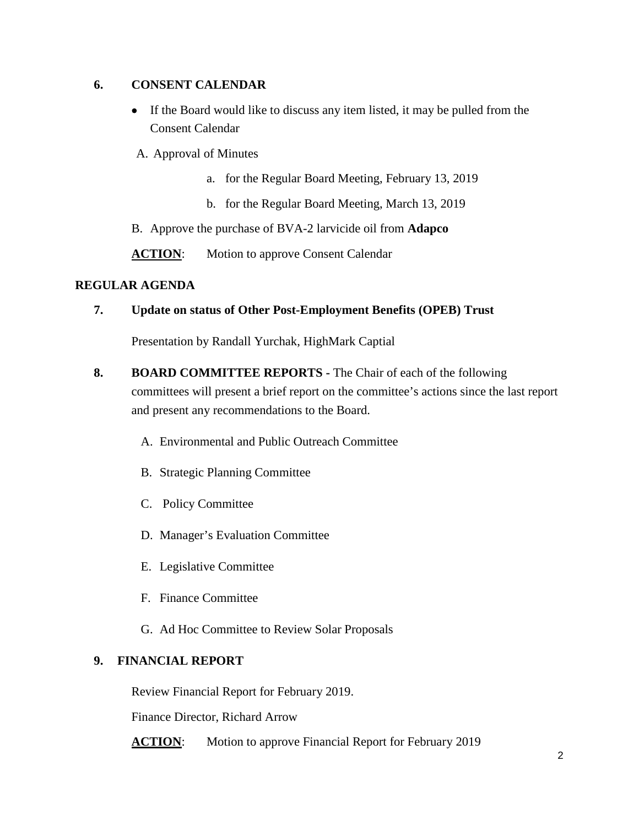### **6. CONSENT CALENDAR**

- If the Board would like to discuss any item listed, it may be pulled from the Consent Calendar
- A. Approval of Minutes
	- a. for the Regular Board Meeting, February 13, 2019
	- b. for the Regular Board Meeting, March 13, 2019
- B. Approve the purchase of BVA-2 larvicide oil from **Adapco**

**ACTION:** Motion to approve Consent Calendar

#### **REGULAR AGENDA**

#### **7. Update on status of Other Post-Employment Benefits (OPEB) Trust**

Presentation by Randall Yurchak, HighMark Captial

- **8. BOARD COMMITTEE REPORTS -** The Chair of each of the following committees will present a brief report on the committee's actions since the last report and present any recommendations to the Board.
	- A. Environmental and Public Outreach Committee
	- B. Strategic Planning Committee
	- C. Policy Committee
	- D. Manager's Evaluation Committee
	- E. Legislative Committee
	- F. Finance Committee
	- G. Ad Hoc Committee to Review Solar Proposals

# **9. FINANCIAL REPORT**

Review Financial Report for February 2019.

Finance Director, Richard Arrow

**ACTION:** Motion to approve Financial Report for February 2019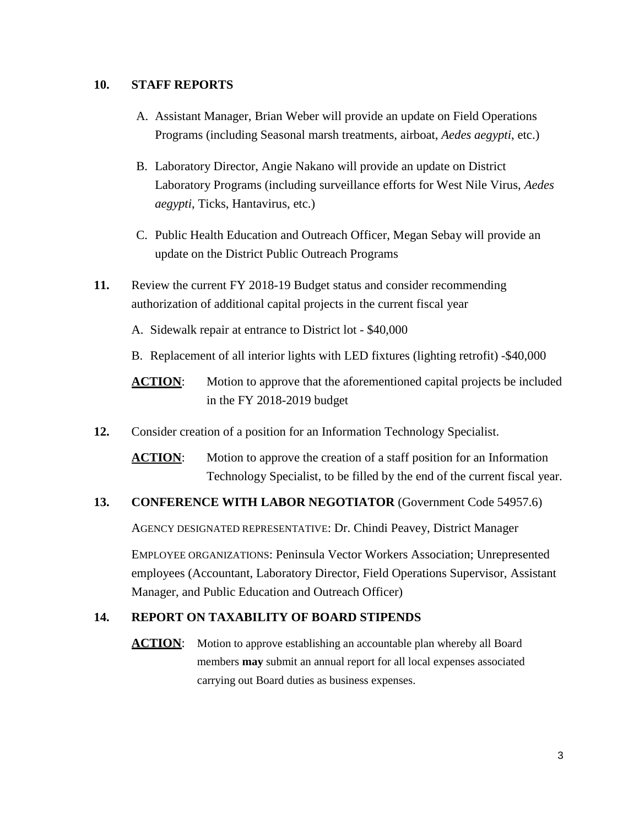#### **10. STAFF REPORTS**

- A. Assistant Manager, Brian Weber will provide an update on Field Operations Programs (including Seasonal marsh treatments, airboat, *Aedes aegypti*, etc.)
- B. Laboratory Director, Angie Nakano will provide an update on District Laboratory Programs (including surveillance efforts for West Nile Virus, *Aedes aegypti*, Ticks, Hantavirus, etc.)
- C. Public Health Education and Outreach Officer, Megan Sebay will provide an update on the District Public Outreach Programs
- **11.** Review the current FY 2018-19 Budget status and consider recommending authorization of additional capital projects in the current fiscal year
	- A. Sidewalk repair at entrance to District lot \$40,000
	- B. Replacement of all interior lights with LED fixtures (lighting retrofit) -\$40,000
	- **ACTION:** Motion to approve that the aforementioned capital projects be included in the FY 2018-2019 budget
- **12.** Consider creation of a position for an Information Technology Specialist.

**ACTION:** Motion to approve the creation of a staff position for an Information Technology Specialist, to be filled by the end of the current fiscal year.

#### **13. CONFERENCE WITH LABOR NEGOTIATOR** (Government Code 54957.6)

AGENCY DESIGNATED REPRESENTATIVE: Dr. Chindi Peavey, District Manager

EMPLOYEE ORGANIZATIONS: Peninsula Vector Workers Association; Unrepresented employees (Accountant, Laboratory Director, Field Operations Supervisor, Assistant Manager, and Public Education and Outreach Officer)

# **14. REPORT ON TAXABILITY OF BOARD STIPENDS**

**ACTION:** Motion to approve establishing an accountable plan whereby all Board members **may** submit an annual report for all local expenses associated carrying out Board duties as business expenses.